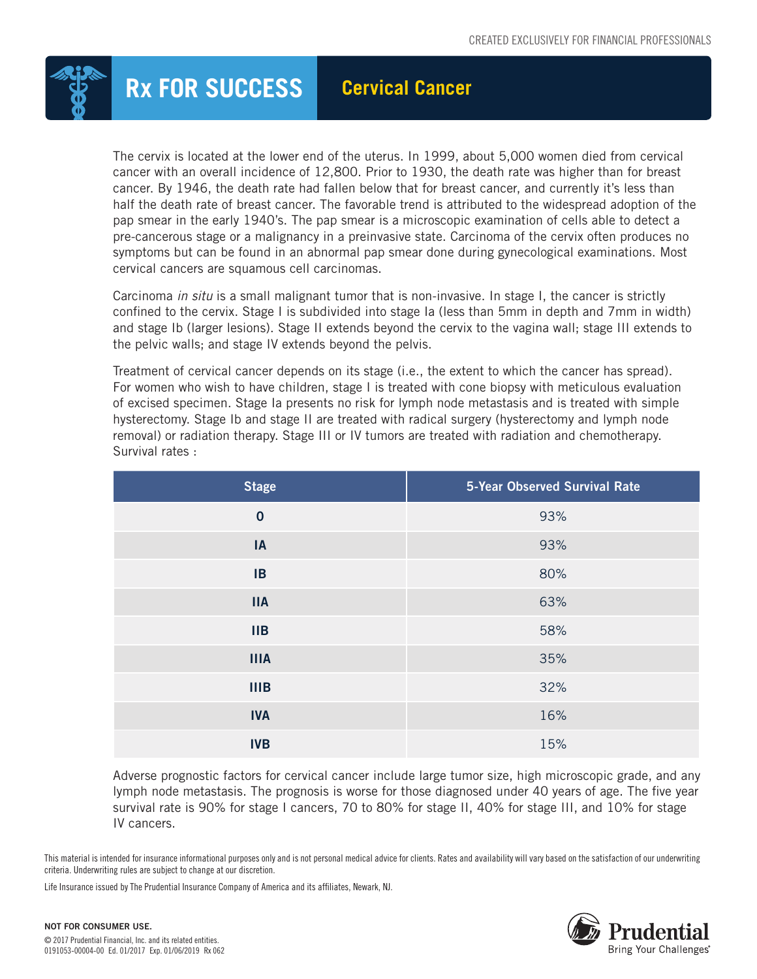

**Rx FOR SUCCESS Cervical Cancer** 

The cervix is located at the lower end of the uterus. In 1999, about 5,000 women died from cervical cancer with an overall incidence of 12,800. Prior to 1930, the death rate was higher than for breast cancer. By 1946, the death rate had fallen below that for breast cancer, and currently it's less than half the death rate of breast cancer. The favorable trend is attributed to the widespread adoption of the pap smear in the early 1940's. The pap smear is a microscopic examination of cells able to detect a pre-cancerous stage or a malignancy in a preinvasive state. Carcinoma of the cervix often produces no symptoms but can be found in an abnormal pap smear done during gynecological examinations. Most cervical cancers are squamous cell carcinomas.

Carcinoma *in situ* is a small malignant tumor that is non-invasive. In stage I, the cancer is strictly confined to the cervix. Stage I is subdivided into stage Ia (less than 5mm in depth and 7mm in width) and stage Ib (larger lesions). Stage II extends beyond the cervix to the vagina wall; stage III extends to the pelvic walls; and stage IV extends beyond the pelvis.

Treatment of cervical cancer depends on its stage (i.e., the extent to which the cancer has spread). For women who wish to have children, stage I is treated with cone biopsy with meticulous evaluation of excised specimen. Stage Ia presents no risk for lymph node metastasis and is treated with simple hysterectomy. Stage Ib and stage II are treated with radical surgery (hysterectomy and lymph node removal) or radiation therapy. Stage III or IV tumors are treated with radiation and chemotherapy. Survival rates :

| <b>Stage</b> | 5-Year Observed Survival Rate |
|--------------|-------------------------------|
| $\mathbf 0$  | 93%                           |
| IA           | 93%                           |
| IB           | 80%                           |
| <b>IIA</b>   | 63%                           |
| IIB          | 58%                           |
| <b>IIIA</b>  | 35%                           |
| <b>IIIB</b>  | 32%                           |
| <b>IVA</b>   | 16%                           |
| <b>IVB</b>   | 15%                           |

Adverse prognostic factors for cervical cancer include large tumor size, high microscopic grade, and any lymph node metastasis. The prognosis is worse for those diagnosed under 40 years of age. The five year survival rate is 90% for stage I cancers, 70 to 80% for stage II, 40% for stage III, and 10% for stage IV cancers.

This material is intended for insurance informational purposes only and is not personal medical advice for clients. Rates and availability will vary based on the satisfaction of our underwriting criteria. Underwriting rules are subject to change at our discretion.

Life Insurance issued by The Prudential Insurance Company of America and its affiliates, Newark, NJ.

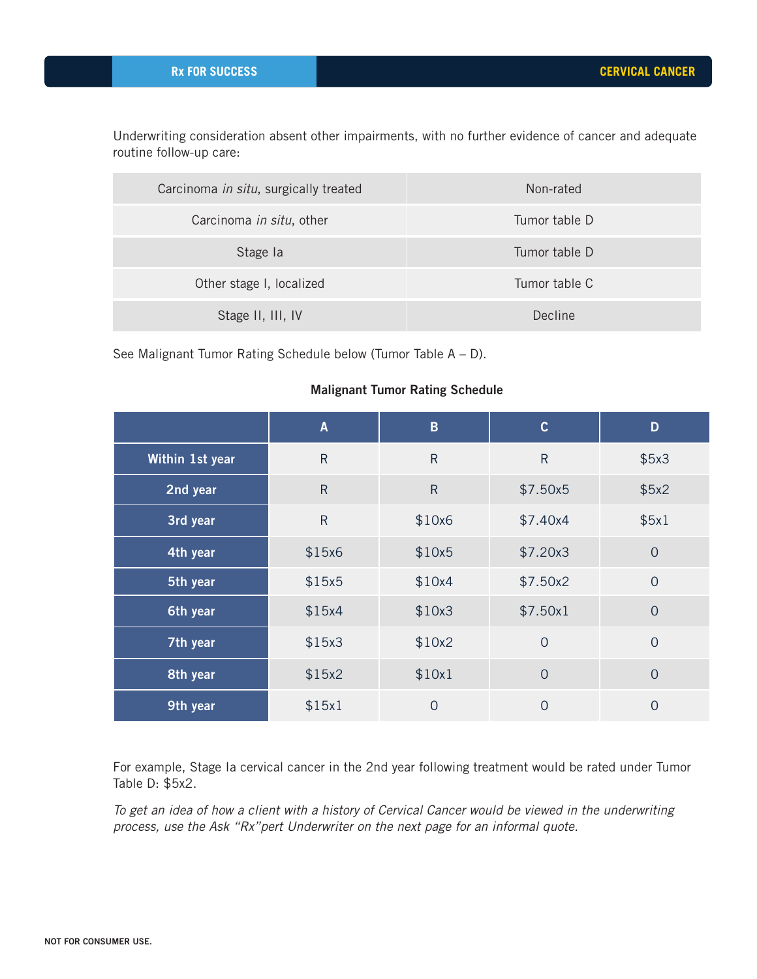Underwriting consideration absent other impairments, with no further evidence of cancer and adequate routine follow-up care:

| Carcinoma in situ, surgically treated | Non-rated     |
|---------------------------------------|---------------|
| Carcinoma in situ, other              | Tumor table D |
| Stage la                              | Tumor table D |
| Other stage I, localized              | Tumor table C |
| Stage II, III, IV                     | Decline       |

See Malignant Tumor Rating Schedule below (Tumor Table A – D).

## Malignant Tumor Rating Schedule

|                 | $\overline{A}$ | $\mathbf B$    | $\mathbf{C}$   | D              |
|-----------------|----------------|----------------|----------------|----------------|
| Within 1st year | $\mathsf R$    | $\mathsf{R}$   | $\mathsf{R}$   | \$5x3          |
| 2nd year        | $\mathsf{R}$   | $\mathsf{R}$   | \$7.50x5       | \$5x2          |
| 3rd year        | $\mathsf{R}$   | \$10x6         | \$7.40x4       | \$5x1          |
| 4th year        | \$15x6         | \$10x5         | \$7.20x3       | $\overline{0}$ |
| 5th year        | \$15x5         | \$10x4         | \$7.50x2       | $\overline{0}$ |
| 6th year        | \$15x4         | \$10x3         | \$7.50x1       | $\overline{0}$ |
| 7th year        | \$15x3         | \$10x2         | $\overline{0}$ | $\overline{0}$ |
| 8th year        | \$15x2         | \$10x1         | $\overline{0}$ | $\overline{0}$ |
| 9th year        | \$15x1         | $\overline{0}$ | $\overline{0}$ | $\overline{0}$ |

For example, Stage Ia cervical cancer in the 2nd year following treatment would be rated under Tumor Table D: \$5x2.

*To get an idea of how a client with a history of Cervical Cancer would be viewed in the underwriting process, use the Ask "Rx"pert Underwriter on the next page for an informal quote.*